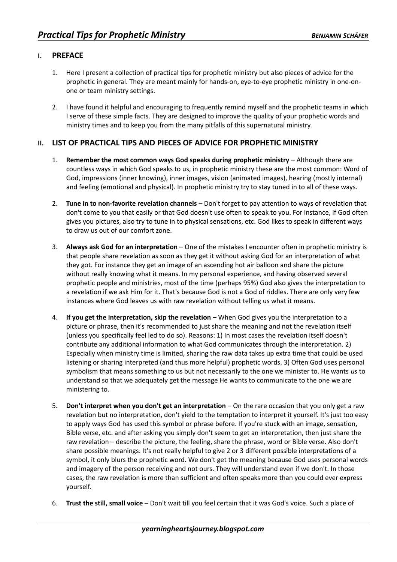## **I. PREFACE**

- 1. Here I present a collection of practical tips for prophetic ministry but also pieces of advice for the prophetic in general. They are meant mainly for hands-on, eye-to-eye prophetic ministry in one-onone or team ministry settings.
- 2. I have found it helpful and encouraging to frequently remind myself and the prophetic teams in which I serve of these simple facts. They are designed to improve the quality of your prophetic words and ministry times and to keep you from the many pitfalls of this supernatural ministry.

## **II. LIST OF PRACTICAL TIPS AND PIECES OF ADVICE FOR PROPHETIC MINISTRY**

- 1. **Remember the most common ways God speaks during prophetic ministry** Although there are countless ways in which God speaks to us, in prophetic ministry these are the most common: Word of God, impressions (inner knowing), inner images, vision (animated images), hearing (mostly internal) and feeling (emotional and physical). In prophetic ministry try to stay tuned in to all of these ways.
- 2. **Tune in to non-favorite revelation channels** Don't forget to pay attention to ways of revelation that don't come to you that easily or that God doesn't use often to speak to you. For instance, if God often gives you pictures, also try to tune in to physical sensations, etc. God likes to speak in different ways to draw us out of our comfort zone.
- 3. **Always ask God for an interpretation** One of the mistakes I encounter often in prophetic ministry is that people share revelation as soon as they get it without asking God for an interpretation of what they got. For instance they get an image of an ascending hot air balloon and share the picture without really knowing what it means. In my personal experience, and having observed several prophetic people and ministries, most of the time (perhaps 95%) God also gives the interpretation to a revelation if we ask Him for it. That's because God is not a God of riddles. There are only very few instances where God leaves us with raw revelation without telling us what it means.
- 4. **If you get the interpretation, skip the revelation** When God gives you the interpretation to a picture or phrase, then it's recommended to just share the meaning and not the revelation itself (unless you specifically feel led to do so). Reasons: 1) In most cases the revelation itself doesn't contribute any additional information to what God communicates through the interpretation. 2) Especially when ministry time is limited, sharing the raw data takes up extra time that could be used listening or sharing interpreted (and thus more helpful) prophetic words. 3) Often God uses personal symbolism that means something to us but not necessarily to the one we minister to. He wants *us* to understand so that we adequately get the message He wants to communicate to the one we are ministering to.
- 5. **Don't interpret when you don't get an interpretation** On the rare occasion that you only get a raw revelation but no interpretation, don't yield to the temptation to interpret it yourself. It's just too easy to apply ways God has used this symbol or phrase before. If you're stuck with an image, sensation, Bible verse, etc. and after asking you simply don't seem to get an interpretation, then just share the raw revelation – describe the picture, the feeling, share the phrase, word or Bible verse. Also don't share possible meanings. It's not really helpful to give 2 or 3 different possible interpretations of a symbol, it only blurs the prophetic word. We don't get the meaning because God uses personal words and imagery of the person receiving and not ours. They will understand even if we don't. In those cases, the raw revelation is more than sufficient and often speaks more than you could ever express yourself.
- 6. **Trust the still, small voice** Don't wait till you feel certain that it was God's voice. Such a place of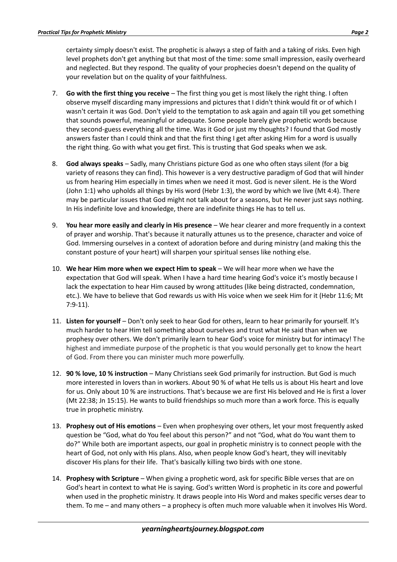certainty simply doesn't exist. The prophetic is always a step of faith and a taking of risks. Even high level prophets don't get anything but that most of the time: some small impression, easily overheard and neglected. But they respond. The quality of your prophecies doesn't depend on the quality of your revelation but on the quality of your faithfulness.

- 7. **Go with the first thing you receive** The first thing you get is most likely the right thing. I often observe myself discarding many impressions and pictures that I didn't think would fit or of which I wasn't certain it was God. Don't yield to the temptation to ask again and again till you get something that sounds powerful, meaningful or adequate. Some people barely give prophetic words because they second-guess everything all the time. Was it God or just my thoughts? I found that God mostly answers faster than I could think and that the first thing I get after asking Him for a word is usually the right thing. Go with what you get first. This is trusting that God speaks when we ask.
- 8. **God always speaks** Sadly, many Christians picture God as one who often stays silent (for a big variety of reasons they can find). This however is a very destructive paradigm of God that will hinder us from hearing Him especially in times when we need it most. God is never silent. He is the Word (John 1:1) who upholds all things by His word (Hebr 1:3), the word by which we live (Mt 4:4). There may be particular issues that God might not talk about for a seasons, but He never just says nothing. In His indefinite love and knowledge, there are indefinite things He has to tell us.
- 9. **You hear more easily and clearly in His presence** We hear clearer and more frequently in a context of prayer and worship. That's because it naturally attunes us to the presence, character and voice of God. Immersing ourselves in a context of adoration before and during ministry (and making this the constant posture of your heart) will sharpen your spiritual senses like nothing else.
- 10. **We hear Him more when we expect Him to speak** We will hear more when we have the expectation that God will speak. When I have a hard time hearing God's voice it's mostly because I lack the expectation to hear Him caused by wrong attitudes (like being distracted, condemnation, etc.). We have to believe that God rewards us with His voice when we seek Him for it (Hebr 11:6; Mt 7:9-11).
- 11. **Listen for yourself**  Don't only seek to hear God for others, learn to hear primarily for yourself. It's much harder to hear Him tell something about ourselves and trust what He said than when we prophesy over others. We don't primarily learn to hear God's voice for ministry but for intimacy! The highest and immediate purpose of the prophetic is that you would personally get to know the heart of God. From there you can minister much more powerfully.
- 12. **90 % love, 10 % instruction** Many Christians seek God primarily for instruction. But God is much more interested in lovers than in workers. About 90 % of what He tells us is about His heart and love for us. Only about 10 % are instructions. That's because we are first His beloved and He is first a lover (Mt 22:38; Jn 15:15). He wants to build friendships so much more than a work force. This is equally true in prophetic ministry.
- 13. **Prophesy out of His emotions** Even when prophesying over others, let your most frequently asked question be "God, what do You feel about this person?" and not "God, what do You want them to do?" While both are important aspects, our goal in prophetic ministry is to connect people with the heart of God, not only with His plans. Also, when people know God's heart, they will inevitably discover His plans for their life. That's basically killing two birds with one stone.
- 14. **Prophesy with Scripture** When giving a prophetic word, ask for specific Bible verses that are on God's heart in context to what He is saying. God's written Word is prophetic in its core and powerful when used in the prophetic ministry. It draws people into His Word and makes specific verses dear to them. To me – and many others – a prophecy is often much more valuable when it involves His Word.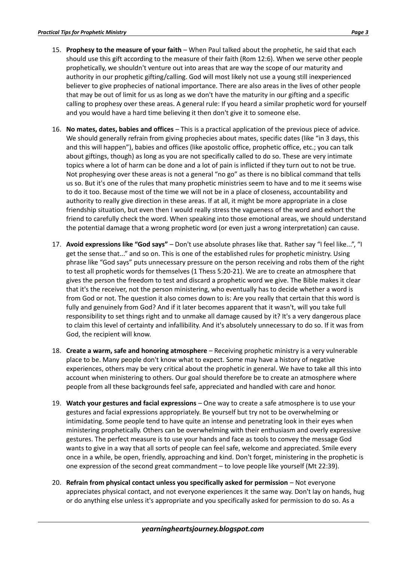- 15. **Prophesy to the measure of your faith** When Paul talked about the prophetic, he said that each should use this gift according to the measure of their faith (Rom 12:6). When we serve other people prophetically, we shouldn't venture out into areas that are way the scope of our maturity and authority in our prophetic gifting/calling. God will most likely not use a young still inexperienced believer to give prophecies of national importance. There are also areas in the lives of other people that may be out of limit for us as long as we don't have the maturity in our gifting and a specific calling to prophesy over these areas. A general rule: If you heard a similar prophetic word for yourself and you would have a hard time believing it then don't give it to someone else.
- 16. **No mates, dates, babies and offices** This is a practical application of the previous piece of advice. We should generally refrain from giving prophecies about mates, specific dates (like "in 3 days, this and this will happen"), babies and offices (like apostolic office, prophetic office, etc.; you can talk about giftings, though) as long as you are not specifically called to do so. These are very intimate topics where a lot of harm can be done and a lot of pain is inflicted if they turn out to not be true. Not prophesying over these areas is not a general "no go" as there is no biblical command that tells us so. But it's one of the rules that many prophetic ministries seem to have and to me it seems wise to do it too. Because most of the time we will not be in a place of closeness, accountability and authority to really give direction in these areas. If at all, it might be more appropriate in a close friendship situation, but even then I would really stress the vagueness of the word and exhort the friend to carefully check the word. When speaking into those emotional areas, we should understand the potential damage that a wrong prophetic word (or even just a wrong interpretation) can cause.
- 17. **Avoid expressions like "God says"** Don't use absolute phrases like that. Rather say "I feel like...", "I get the sense that..." and so on. This is one of the established rules for prophetic ministry. Using phrase like "God says" puts unnecessary pressure on the person receiving and robs them of the right to test all prophetic words for themselves (1 Thess 5:20-21). We are to create an atmosphere that gives the person the freedom to test and discard a prophetic word we give. The Bible makes it clear that it's the receiver, not the person ministering, who eventually has to decide whether a word is from God or not. The question it also comes down to is: Are you really that certain that this word is fully and genuinely from God? And if it later becomes apparent that it wasn't, will you take full responsibility to set things right and to unmake all damage caused by it? It's a very dangerous place to claim this level of certainty and infallibility. And it's absolutely unnecessary to do so. If it was from God, the recipient will know.
- 18. **Create a warm, safe and honoring atmosphere** Receiving prophetic ministry is a very vulnerable place to be. Many people don't know what to expect. Some may have a history of negative experiences, others may be very critical about the prophetic in general. We have to take all this into account when ministering to others. Our goal should therefore be to create an atmosphere where people from all these backgrounds feel safe, appreciated and handled with care and honor.
- 19. **Watch your gestures and facial expressions** One way to create a safe atmosphere is to use your gestures and facial expressions appropriately. Be yourself but try not to be overwhelming or intimidating. Some people tend to have quite an intense and penetrating look in their eyes when ministering prophetically. Others can be overwhelming with their enthusiasm and overly expressive gestures. The perfect measure is to use your hands and face as tools to convey the message God wants to give in a way that all sorts of people can feel safe, welcome and appreciated. Smile every once in a while, be open, friendly, approaching and kind. Don't forget, ministering in the prophetic is one expression of the second great commandment – to love people like yourself (Mt 22:39).
- 20. **Refrain from physical contact unless you specifically asked for permission** Not everyone appreciates physical contact, and not everyone experiences it the same way. Don't lay on hands, hug or do anything else unless it's appropriate and you specifically asked for permission to do so. As a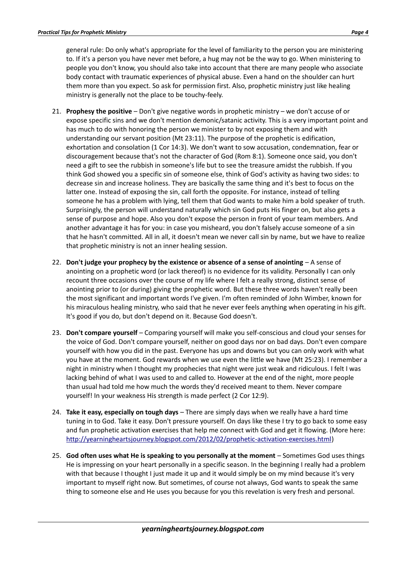general rule: Do only what's appropriate for the level of familiarity to the person you are ministering to. If it's a person you have never met before, a hug may not be the way to go. When ministering to people you don't know, you should also take into account that there are many people who associate body contact with traumatic experiences of physical abuse. Even a hand on the shoulder can hurt them more than you expect. So ask for permission first. Also, prophetic ministry just like healing ministry is generally not the place to be touchy-feely.

- 21. **Prophesy the positive** Don't give negative words in prophetic ministry we don't accuse of or expose specific sins and we don't mention demonic/satanic activity. This is a very important point and has much to do with honoring the person we minister to by not exposing them and with understanding our servant position (Mt 23:11). The purpose of the prophetic is edification, exhortation and consolation (1 Cor 14:3). We don't want to sow accusation, condemnation, fear or discouragement because that's not the character of God (Rom 8:1). Someone once said, you don't need a gift to see the rubbish in someone's life but to see the treasure amidst the rubbish. If you think God showed you a specific sin of someone else, think of God's activity as having two sides: to decrease sin and increase holiness. They are basically the same thing and it's best to focus on the latter one. Instead of exposing the sin, call forth the opposite. For instance, instead of telling someone he has a problem with lying, tell them that God wants to make him a bold speaker of truth. Surprisingly, the person will understand naturally which sin God puts His finger on, but also gets a sense of purpose and hope. Also you don't expose the person in front of your team members. And another advantage it has for you: in case you misheard, you don't falsely accuse someone of a sin that he hasn't committed. All in all, it doesn't mean we never call sin by name, but we have to realize that prophetic ministry is not an inner healing session.
- 22. **Don't judge your prophecy by the existence or absence of a sense of anointing** A sense of anointing on a prophetic word (or lack thereof) is no evidence for its validity. Personally I can only recount three occasions over the course of my life where I felt a really strong, distinct sense of anointing prior to (or during) giving the prophetic word. But these three words haven't really been the most significant and important words I've given. I'm often reminded of John Wimber, known for his miraculous healing ministry, who said that he never ever feels anything when operating in his gift. It's good if you do, but don't depend on it. Because God doesn't.
- 23. **Don't compare yourself** Comparing yourself will make you self-conscious and cloud your senses for the voice of God. Don't compare yourself, neither on good days nor on bad days. Don't even compare yourself with how you did in the past. Everyone has ups and downs but you can only work with what you have at the moment. God rewards when we use even the little we have (Mt 25:23). I remember a night in ministry when I thought my prophecies that night were just weak and ridiculous. I felt I was lacking behind of what I was used to and called to. However at the end of the night, more people than usual had told me how much the words they'd received meant to them. Never compare yourself! In your weakness His strength is made perfect (2 Cor 12:9).
- 24. **Take it easy, especially on tough days** There are simply days when we really have a hard time tuning in to God. Take it easy. Don't pressure yourself. On days like these I try to go back to some easy and fun prophetic activation exercises that help me connect with God and get it flowing. (More here: [http://yearningheartsjourney.blogspot.com/2012/02/prophetic-activation-exercises.html\)](http://yearningheartsjourney.blogspot.com/2012/02/prophetic-activation-exercises.html)
- 25. **God often uses what He is speaking to you personally at the moment** Sometimes God uses things He is impressing on your heart personally in a specific season. In the beginning I really had a problem with that because I thought I just made it up and it would simply be on my mind because it's very important to myself right now. But sometimes, of course not always, God wants to speak the same thing to someone else and He uses you because for you this revelation is very fresh and personal.